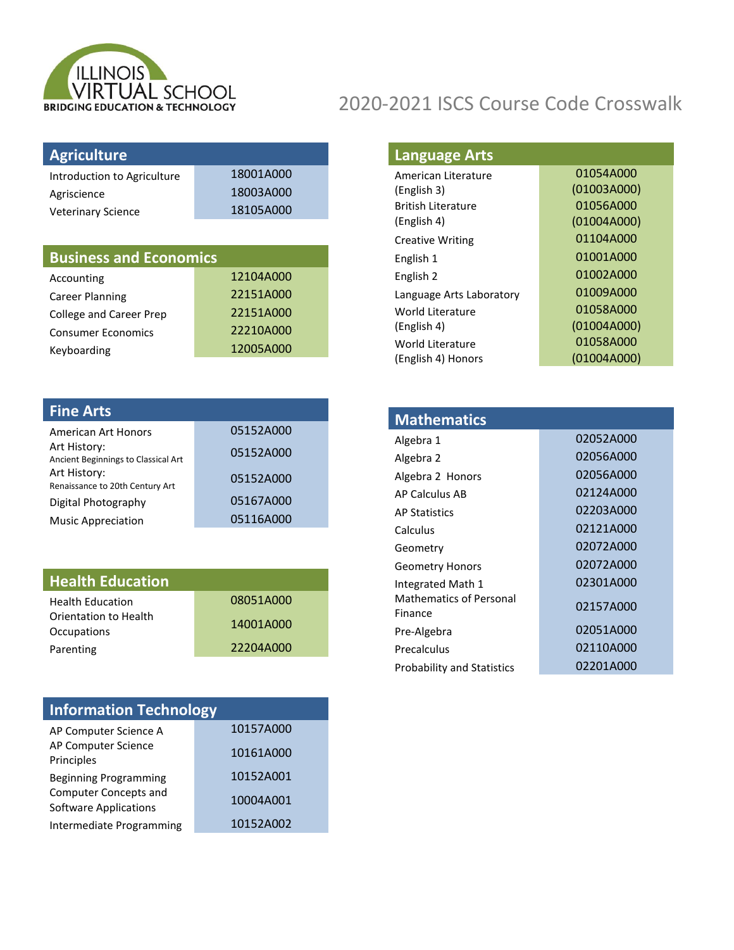

| <b>Agriculture</b>             |           |
|--------------------------------|-----------|
| Introduction to Agriculture    | 18001A000 |
| Agriscience                    | 18003A000 |
| <b>Veterinary Science</b>      | 18105A000 |
|                                |           |
|                                |           |
| <b>Business and Economics</b>  |           |
| Accounting                     | 12104A000 |
| Career Planning                | 22151A000 |
| <b>College and Career Prep</b> | 22151A000 |

Keyboarding 12005A000

| 05152A000 |
|-----------|
| 05152A000 |
| 05152A000 |
| 05167A000 |
| 05116A000 |
|           |

| <b>Health Education</b> |           |
|-------------------------|-----------|
| <b>Health Education</b> | 08051A000 |
| Orientation to Health   | 14001A000 |
| Occupations             |           |
| Parenting               | 22204A000 |

| <b>Information Technology</b>                                |           |
|--------------------------------------------------------------|-----------|
| AP Computer Science A                                        | 10157A000 |
| AP Computer Science<br>Principles                            | 10161A000 |
| <b>Beginning Programming</b>                                 | 10152A001 |
| <b>Computer Concepts and</b><br><b>Software Applications</b> | 10004A001 |
| Intermediate Programming                                     | 10152A002 |

| <b>Language Arts</b> |  |
|----------------------|--|
|----------------------|--|

| American Literature       | 01054A000   |
|---------------------------|-------------|
| (English 3)               | (01003A000) |
| <b>British Literature</b> | 01056A000   |
| (English 4)               | (01004A000) |
| <b>Creative Writing</b>   | 01104A000   |
| English 1                 | 01001A000   |
| English 2                 | 01002A000   |
| Language Arts Laboratory  | 01009A000   |
| World Literature          | 01058A000   |
| (English 4)               | (01004A000) |
| World Literature          | 01058A000   |
| (English 4) Honors        | (01004A000) |

| <b>Mathematics</b>                        |           |
|-------------------------------------------|-----------|
| Algebra 1                                 | 02052A000 |
| Algebra 2                                 | 02056A000 |
| Algebra 2 Honors                          | 02056A000 |
| AP Calculus AB                            | 02124A000 |
| <b>AP Statistics</b>                      | 02203A000 |
| Calculus                                  | 02121A000 |
| Geometry                                  | 02072A000 |
| <b>Geometry Honors</b>                    | 02072A000 |
| Integrated Math 1                         | 02301A000 |
| <b>Mathematics of Personal</b><br>Finance | 02157A000 |
| Pre-Algebra                               | 02051A000 |
| Precalculus                               | 02110A000 |
| <b>Probability and Statistics</b>         | 02201A000 |